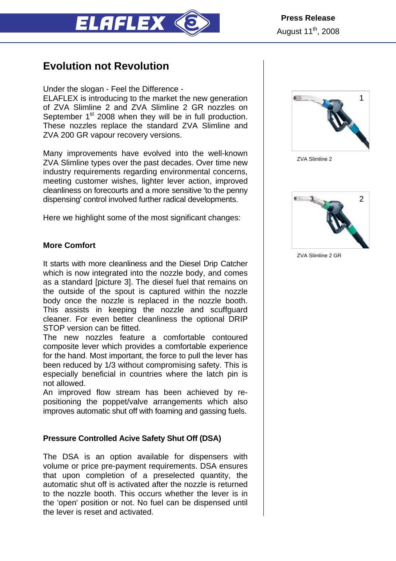

# **Evolution not Revolution**

Under the slogan - Feel the Difference -

ELAFLEX is introducing to the market the new generation of ZVA Slimline 2 and ZVA Slimline 2 GR nozzles on September 1<sup>st</sup> 2008 when they will be in full production. These nozzles replace the standard ZVA Slimline and ZVA 200 GR vapour recovery versions.

Many improvements have evolved into the well-known ZVA Slimline types over the past decades. Over time new industry requirements regarding environmental concerns, meeting customer wishes, lighter lever action, improved cleanliness on forecourts and a more sensitive 'to the penny dispensing' control involved further radical developments.

Here we highlight some of the most significant changes:

## **More Comfort**

It starts with more cleanliness and the Diesel Drip Catcher which is now integrated into the nozzle body, and comes as a standard [picture 3]. The diesel fuel that remains on the outside of the spout is captured within the nozzle body once the nozzle is replaced in the nozzle booth. This assists in keeping the nozzle and scuffguard cleaner. For even better cleanliness the optional DRIP STOP version can be fitted.

The new nozzles feature a comfortable contoured composite lever which provides a comfortable experience for the hand. Most important, the force to pull the lever has been reduced by 1/3 without compromising safety. This is especially beneficial in countries where the latch pin is not allowed.

An improved flow stream has been achieved by repositioning the poppet/valve arrangements which also improves automatic shut off with foaming and gassing fuels.

## **Pressure Controlled Acive Safety Shut Off (DSA)**

The DSA is an option available for dispensers with volume or price pre-payment requirements. DSA ensures that upon completion of a preselected quantity, the automatic shut off is activated after the nozzle is returned to the nozzle booth. This occurs whether the lever is in the 'open' position or not. No fuel can be dispensed until the lever is reset and activated.



ZVA Slimline 2



ZVA Slimline 2 GR